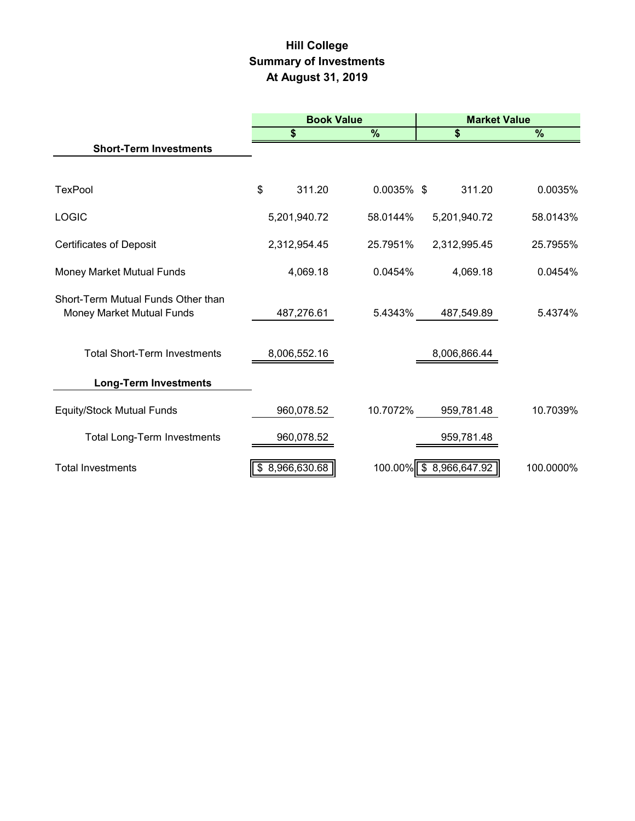# **Hill College Summary of Investments At August 31, 2019**

|                                                                 | <b>Book Value</b>  |               |                        | <b>Market Value</b> |
|-----------------------------------------------------------------|--------------------|---------------|------------------------|---------------------|
|                                                                 | \$                 | $\%$          | \$                     | %                   |
| <b>Short-Term Investments</b>                                   |                    |               |                        |                     |
|                                                                 |                    |               |                        |                     |
| <b>TexPool</b>                                                  | \$<br>311.20       | $0.0035\%$ \$ | 311.20                 | 0.0035%             |
| <b>LOGIC</b>                                                    | 5,201,940.72       | 58.0144%      | 5,201,940.72           | 58.0143%            |
| <b>Certificates of Deposit</b>                                  | 2,312,954.45       | 25.7951%      | 2,312,995.45           | 25.7955%            |
| Money Market Mutual Funds                                       | 4,069.18           | 0.0454%       | 4,069.18               | 0.0454%             |
| Short-Term Mutual Funds Other than<br>Money Market Mutual Funds | 487,276.61         | 5.4343%       | 487,549.89             | 5.4374%             |
| <b>Total Short-Term Investments</b>                             | 8,006,552.16       |               | 8,006,866.44           |                     |
| <b>Long-Term Investments</b>                                    |                    |               |                        |                     |
| <b>Equity/Stock Mutual Funds</b>                                | 960,078.52         | 10.7072%      | 959,781.48             | 10.7039%            |
| Total Long-Term Investments                                     | 960,078.52         |               | 959,781.48             |                     |
| <b>Total Investments</b>                                        | 8,966,630.68<br>\$ |               | 100.00% \$8,966,647.92 | 100.0000%           |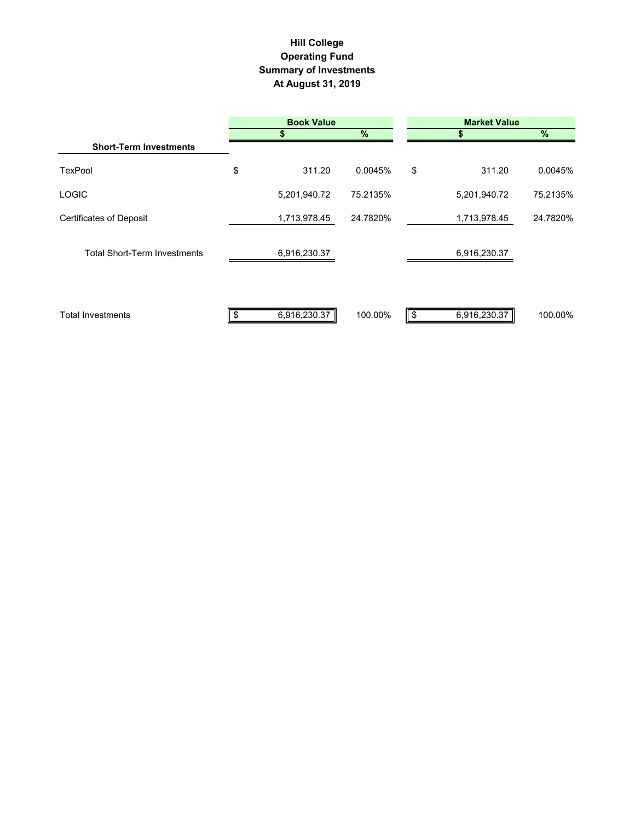# **Hill College Operating Fund Summary of Investments At August 31, 2019**

|                                     | <b>Book Value</b> |              |          |    |              |          |
|-------------------------------------|-------------------|--------------|----------|----|--------------|----------|
|                                     |                   |              | %        |    |              | %        |
| <b>Short-Term Investments</b>       |                   |              |          |    |              |          |
| <b>TexPool</b>                      | \$                | 311.20       | 0.0045%  | \$ | 311.20       | 0.0045%  |
| <b>LOGIC</b>                        |                   | 5,201,940.72 | 75.2135% |    | 5,201,940.72 | 75.2135% |
| <b>Certificates of Deposit</b>      |                   | 1,713,978.45 | 24.7820% |    | 1,713,978.45 | 24.7820% |
| <b>Total Short-Term Investments</b> |                   | 6,916,230.37 |          |    | 6,916,230.37 |          |
| <b>Total Investments</b>            |                   | 6,916,230.37 | 100.00%  |    | 6,916,230.37 | 100.00%  |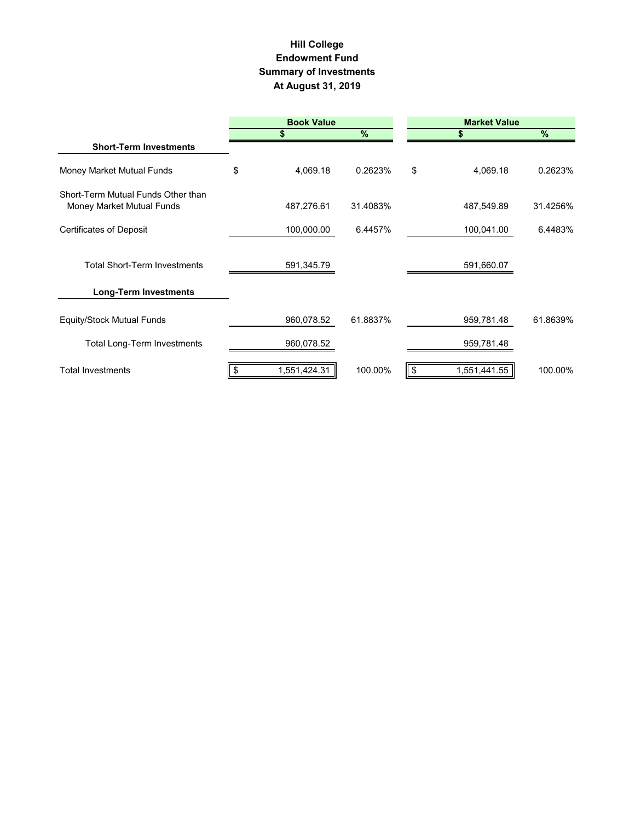#### **Hill College Endowment Fund Summary of Investments At August 31, 2019**

|                                                                 |                    | <b>Book Value</b>      |    | <b>Market Value</b> |          |  |
|-----------------------------------------------------------------|--------------------|------------------------|----|---------------------|----------|--|
|                                                                 | \$                 | %                      |    |                     | $\%$     |  |
| <b>Short-Term Investments</b>                                   |                    |                        |    |                     |          |  |
| Money Market Mutual Funds                                       | \$                 | 4,069.18<br>0.2623%    | \$ | 4,069.18            | 0.2623%  |  |
| Short-Term Mutual Funds Other than<br>Money Market Mutual Funds |                    | 487,276.61<br>31.4083% |    | 487,549.89          | 31.4256% |  |
| <b>Certificates of Deposit</b>                                  |                    | 100,000.00<br>6.4457%  |    | 100,041.00          | 6.4483%  |  |
| <b>Total Short-Term Investments</b>                             |                    | 591,345.79             |    | 591,660.07          |          |  |
| <b>Long-Term Investments</b>                                    |                    |                        |    |                     |          |  |
| Equity/Stock Mutual Funds                                       |                    | 960,078.52<br>61.8837% |    | 959,781.48          | 61.8639% |  |
| <b>Total Long-Term Investments</b>                              |                    | 960,078.52             |    | 959,781.48          |          |  |
| <b>Total Investments</b>                                        | 1,551,424.31<br>S. | 100.00%                | \$ | 1,551,441.55        | 100.00%  |  |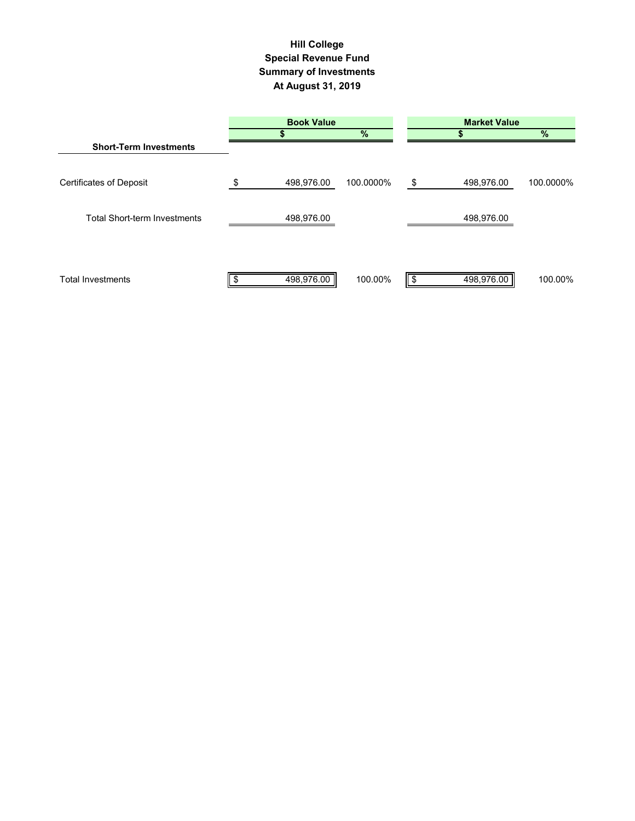# **Summary of Investments At August 31, 2019 Special Revenue Fund Hill College**

|                                     | <b>Book Value</b> |           | <b>Market Value</b> |            |           |  |
|-------------------------------------|-------------------|-----------|---------------------|------------|-----------|--|
|                                     |                   | %         |                     |            | $\%$      |  |
| <b>Short-Term Investments</b>       |                   |           |                     |            |           |  |
| <b>Certificates of Deposit</b>      | \$<br>498,976.00  | 100.0000% | \$                  | 498,976.00 | 100.0000% |  |
| <b>Total Short-term Investments</b> | 498,976.00        |           |                     | 498,976.00 |           |  |
| <b>Total Investments</b>            | 498,976.00        | 100.00%   |                     | 498,976.00 | 100.00%   |  |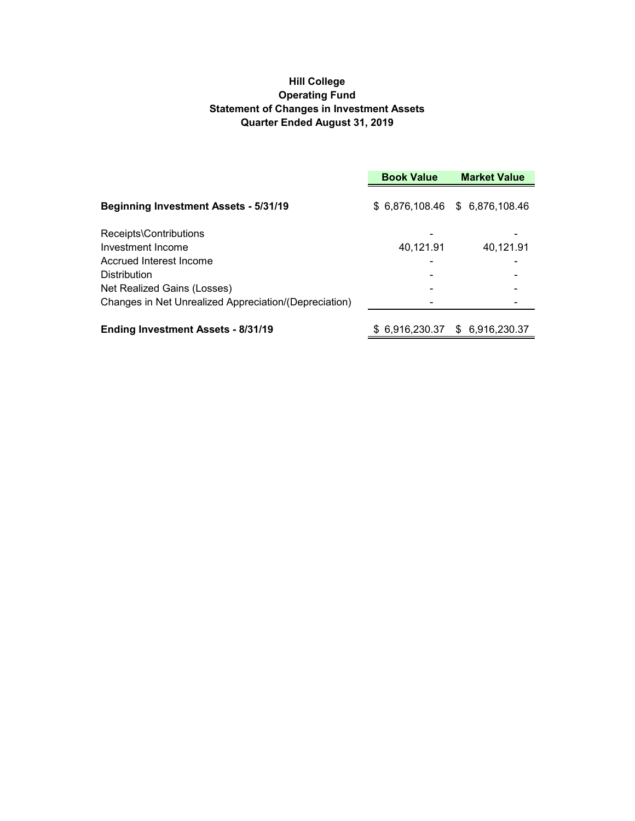# **Hill College Operating Fund Statement of Changes in Investment Assets Quarter Ended August 31, 2019**

|                                                       | <b>Book Value</b><br><b>Market Value</b> |                                 |
|-------------------------------------------------------|------------------------------------------|---------------------------------|
| <b>Beginning Investment Assets - 5/31/19</b>          |                                          | \$ 6,876,108.46 \$ 6,876,108.46 |
| Receipts\Contributions                                |                                          |                                 |
| Investment Income                                     | 40,121.91                                | 40,121.91                       |
| Accrued Interest Income                               |                                          |                                 |
| <b>Distribution</b>                                   |                                          |                                 |
| Net Realized Gains (Losses)                           |                                          |                                 |
| Changes in Net Unrealized Appreciation/(Depreciation) |                                          |                                 |
| <b>Ending Investment Assets - 8/31/19</b>             |                                          | \$ 6.916.230.37 \$ 6.916.230.37 |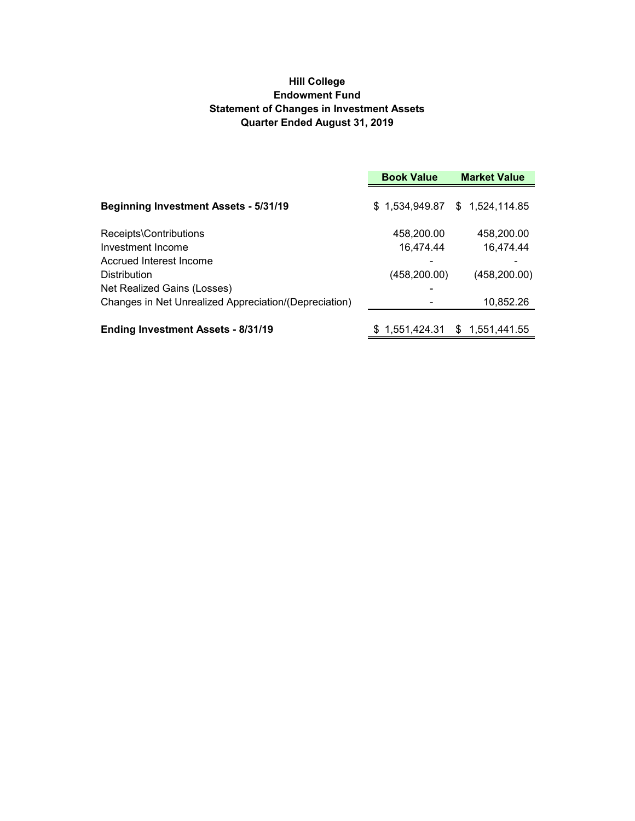# **Hill College Endowment Fund Statement of Changes in Investment Assets Quarter Ended August 31, 2019**

|                                                       | <b>Book Value</b> | <b>Market Value</b>             |  |
|-------------------------------------------------------|-------------------|---------------------------------|--|
| <b>Beginning Investment Assets - 5/31/19</b>          |                   | $$1,534,949.87$ $$1,524,114.85$ |  |
| Receipts\Contributions                                | 458,200.00        | 458,200.00                      |  |
| Investment Income                                     | 16,474.44         | 16,474.44                       |  |
| Accrued Interest Income                               |                   |                                 |  |
| <b>Distribution</b>                                   | (458,200.00)      | (458, 200.00)                   |  |
| Net Realized Gains (Losses)                           |                   |                                 |  |
| Changes in Net Unrealized Appreciation/(Depreciation) |                   | 10,852.26                       |  |
| <b>Ending Investment Assets - 8/31/19</b>             | \$1,551,424.31    | 1,551,441.55<br>\$.             |  |